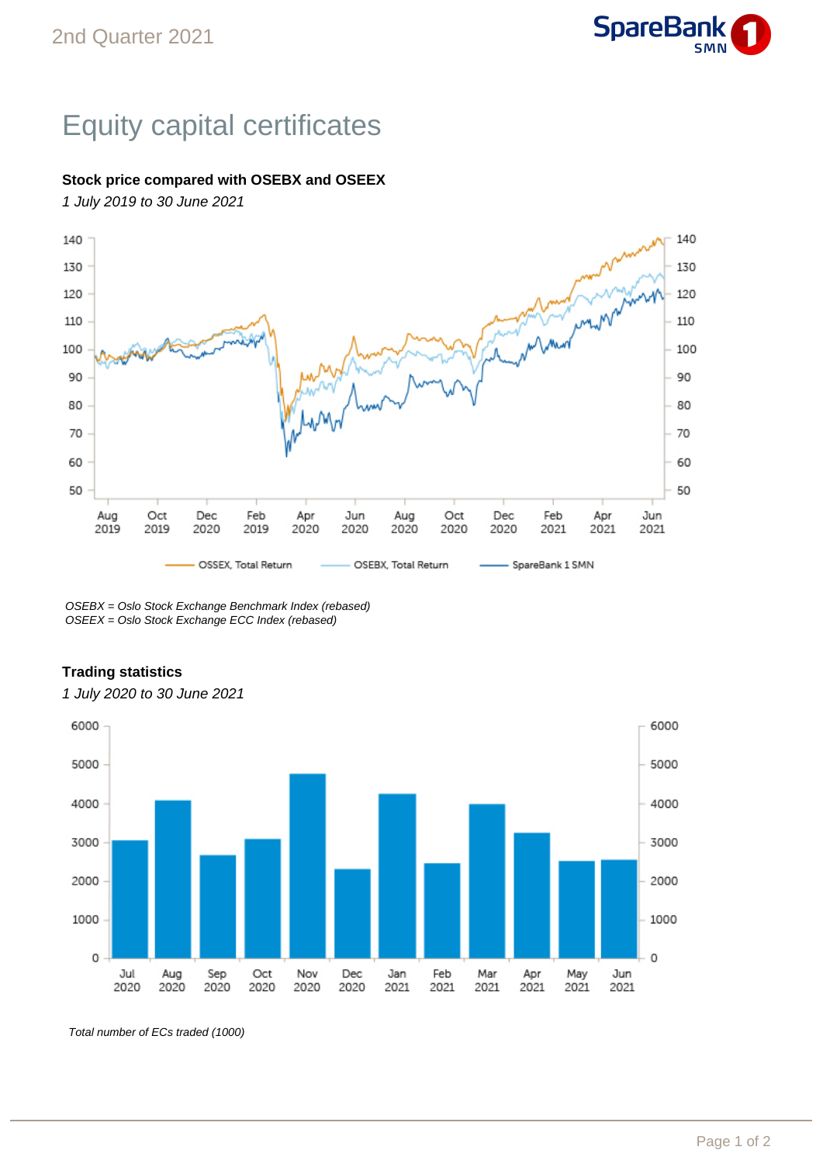

## Equity capital certificates

## **Stock price compared with OSEBX and OSEEX**

1 July 2019 to 30 June 2021



OSEBX = Oslo Stock Exchange Benchmark Index (rebased) OSEEX = Oslo Stock Exchange ECC Index (rebased)

## **Trading statistics**



1 July 2020 to 30 June 2021

Total number of ECs traded (1000)